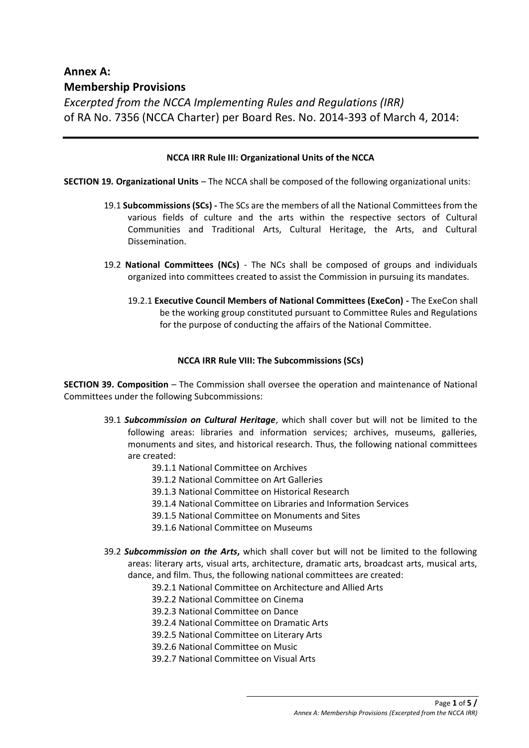# **Annex A: Membership Provisions**

*Excerpted from the NCCA Implementing Rules and Regulations (IRR)*  of RA No. 7356 (NCCA Charter) per Board Res. No. 2014-393 of March 4, 2014:

#### **NCCA IRR Rule III: Organizational Units of the NCCA**

**SECTION 19***.* **Organizational Units** – The NCCA shall be composed of the following organizational units:

- 19.1 **Subcommissions (SCs) -** The SCs are the members of all the National Committees from the various fields of culture and the arts within the respective sectors of Cultural Communities and Traditional Arts, Cultural Heritage, the Arts, and Cultural Dissemination.
- 19.2 **National Committees (NCs)**  The NCs shall be composed of groups and individuals organized into committees created to assist the Commission in pursuing its mandates.
	- 19.2.1 **Executive Council Members of National Committees (ExeCon) -** The ExeCon shall be the working group constituted pursuant to Committee Rules and Regulations for the purpose of conducting the affairs of the National Committee.

#### **NCCA IRR Rule VIII: The Subcommissions (SCs)**

**SECTION 39. Composition** *–* The Commission shall oversee the operation and maintenance of National Committees under the following Subcommissions:

- 39.1 *Subcommission on Cultural Heritage*, which shall cover but will not be limited to the following areas: libraries and information services; archives, museums, galleries, monuments and sites, and historical research. Thus, the following national committees are created:
	- 39.1.1 National Committee on Archives
	- 39.1.2 National Committee on Art Galleries
	- 39.1.3 National Committee on Historical Research
	- 39.1.4 National Committee on Libraries and Information Services
	- 39.1.5 National Committee on Monuments and Sites
	- 39.1.6 National Committee on Museums
- 39.2 *Subcommission on the Arts***,** which shall cover but will not be limited to the following areas: literary arts, visual arts, architecture, dramatic arts, broadcast arts, musical arts, dance, and film. Thus, the following national committees are created:
	- 39.2.1 National Committee on Architecture and Allied Arts
	- 39.2.2 National Committee on Cinema
	- 39.2.3 National Committee on Dance
	- 39.2.4 National Committee on Dramatic Arts
	- 39.2.5 National Committee on Literary Arts
	- 39.2.6 National Committee on Music
	- 39.2.7 National Committee on Visual Arts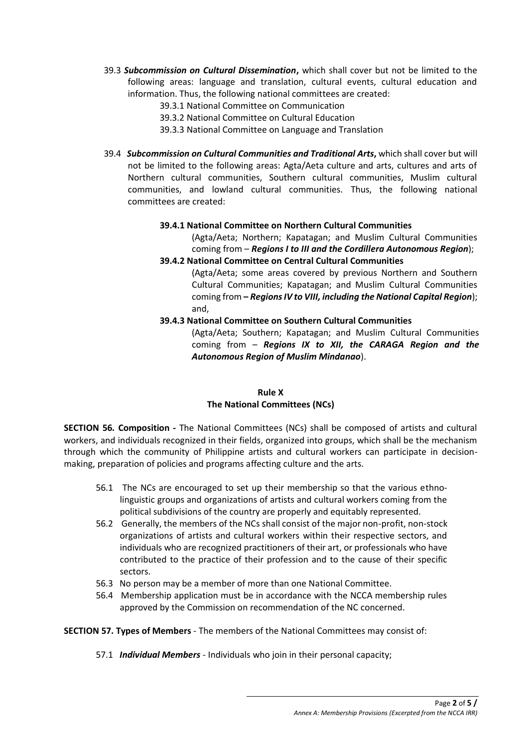39.3 *Subcommission on Cultural Dissemination***,** which shall cover but not be limited to the following areas: language and translation, cultural events, cultural education and information. Thus, the following national committees are created:

39.3.1 National Committee on Communication

- 39.3.2 National Committee on Cultural Education
- 39.3.3 National Committee on Language and Translation
- 39.4 *Subcommission on Cultural Communities and Traditional Arts***,** which shall cover but will not be limited to the following areas: Agta/Aeta culture and arts, cultures and arts of Northern cultural communities, Southern cultural communities, Muslim cultural communities, and lowland cultural communities. Thus, the following national committees are created:

#### **39.4.1 National Committee on Northern Cultural Communities**

(Agta/Aeta; Northern; Kapatagan; and Muslim Cultural Communities coming from – *Regions I to III and the Cordillera Autonomous Region*);

# **39.4.2 National Committee on Central Cultural Communities**

(Agta/Aeta; some areas covered by previous Northern and Southern Cultural Communities; Kapatagan; and Muslim Cultural Communities coming from **–** *Regions IV to VIII, including the National Capital Region*); and,

**39.4.3 National Committee on Southern Cultural Communities**

(Agta/Aeta; Southern; Kapatagan; and Muslim Cultural Communities coming from – *Regions IX to XII, the CARAGA Region and the Autonomous Region of Muslim Mindanao*).

# **Rule X The National Committees (NCs)**

**SECTION 56***.* **Composition -** The National Committees (NCs) shall be composed of artists and cultural workers, and individuals recognized in their fields, organized into groups, which shall be the mechanism through which the community of Philippine artists and cultural workers can participate in decisionmaking, preparation of policies and programs affecting culture and the arts.

- 56.1 The NCs are encouraged to set up their membership so that the various ethnolinguistic groups and organizations of artists and cultural workers coming from the political subdivisions of the country are properly and equitably represented.
- 56.2 Generally, the members of the NCs shall consist of the major non-profit, non-stock organizations of artists and cultural workers within their respective sectors, and individuals who are recognized practitioners of their art, or professionals who have contributed to the practice of their profession and to the cause of their specific sectors.
- 56.3 No person may be a member of more than one National Committee.
- 56.4 Membership application must be in accordance with the NCCA membership rules approved by the Commission on recommendation of the NC concerned.

# **SECTION 57. Types of Members** - The members of the National Committees may consist of:

57.1 *Individual Members -* Individuals who join in their personal capacity;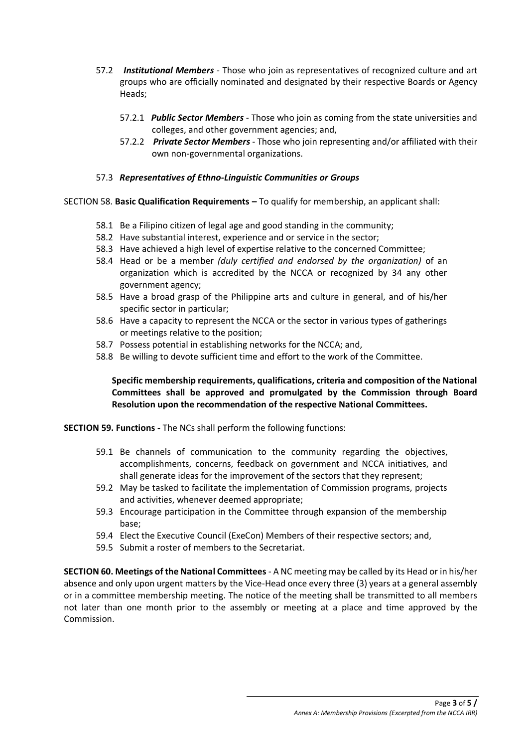- 57.2 *Institutional Members -* Those who join as representatives of recognized culture and art groups who are officially nominated and designated by their respective Boards or Agency Heads;
	- 57.2.1 *Public Sector Members -* Those who join as coming from the state universities and colleges, and other government agencies; and,
	- 57.2.2 *Private Sector Members -* Those who join representing and/or affiliated with their own non-governmental organizations.

#### 57.3 *Representatives of Ethno-Linguistic Communities or Groups*

SECTION 58. **Basic Qualification Requirements –** To qualify for membership, an applicant shall:

- 58.1 Be a Filipino citizen of legal age and good standing in the community;
- 58.2 Have substantial interest, experience and or service in the sector;
- 58.3 Have achieved a high level of expertise relative to the concerned Committee;
- 58.4 Head or be a member *(duly certified and endorsed by the organization)* of an organization which is accredited by the NCCA or recognized by 34 any other government agency;
- 58.5 Have a broad grasp of the Philippine arts and culture in general, and of his/her specific sector in particular;
- 58.6 Have a capacity to represent the NCCA or the sector in various types of gatherings or meetings relative to the position;
- 58.7 Possess potential in establishing networks for the NCCA; and,
- 58.8 Be willing to devote sufficient time and effort to the work of the Committee.

# **Specific membership requirements, qualifications, criteria and composition of the National Committees shall be approved and promulgated by the Commission through Board Resolution upon the recommendation of the respective National Committees.**

**SECTION 59. Functions -** The NCs shall perform the following functions:

- 59.1 Be channels of communication to the community regarding the objectives, accomplishments, concerns, feedback on government and NCCA initiatives, and shall generate ideas for the improvement of the sectors that they represent;
- 59.2 May be tasked to facilitate the implementation of Commission programs, projects and activities, whenever deemed appropriate;
- 59.3 Encourage participation in the Committee through expansion of the membership base;
- 59.4 Elect the Executive Council (ExeCon) Members of their respective sectors; and,
- 59.5 Submit a roster of members to the Secretariat.

**SECTION 60. Meetings of the National Committees** - A NC meeting may be called by its Head or in his/her absence and only upon urgent matters by the Vice-Head once every three (3) years at a general assembly or in a committee membership meeting. The notice of the meeting shall be transmitted to all members not later than one month prior to the assembly or meeting at a place and time approved by the Commission.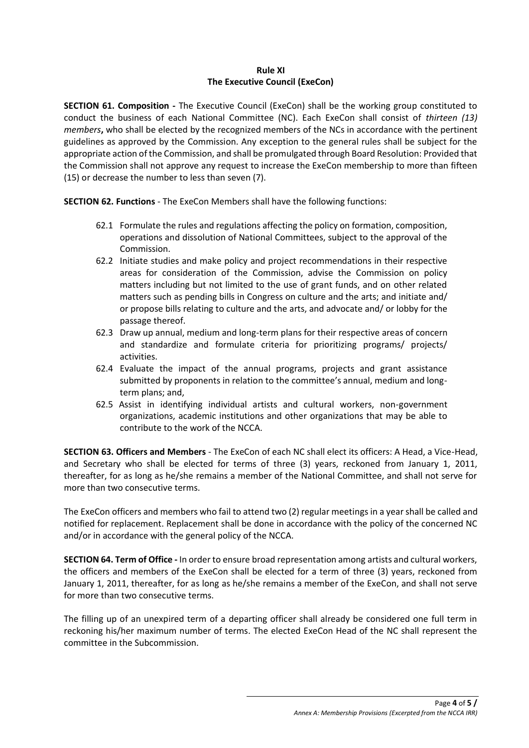#### **Rule XI The Executive Council (ExeCon)**

**SECTION 61. Composition -** The Executive Council (ExeCon) shall be the working group constituted to conduct the business of each National Committee (NC). Each ExeCon shall consist of *thirteen (13) members***,** who shall be elected by the recognized members of the NCs in accordance with the pertinent guidelines as approved by the Commission. Any exception to the general rules shall be subject for the appropriate action of the Commission, and shall be promulgated through Board Resolution: Provided that the Commission shall not approve any request to increase the ExeCon membership to more than fifteen (15) or decrease the number to less than seven (7).

**SECTION 62. Functions** - The ExeCon Members shall have the following functions:

- 62.1 Formulate the rules and regulations affecting the policy on formation, composition, operations and dissolution of National Committees, subject to the approval of the Commission.
- 62.2 Initiate studies and make policy and project recommendations in their respective areas for consideration of the Commission, advise the Commission on policy matters including but not limited to the use of grant funds, and on other related matters such as pending bills in Congress on culture and the arts; and initiate and/ or propose bills relating to culture and the arts, and advocate and/ or lobby for the passage thereof.
- 62.3 Draw up annual, medium and long-term plans for their respective areas of concern and standardize and formulate criteria for prioritizing programs/ projects/ activities.
- 62.4 Evaluate the impact of the annual programs, projects and grant assistance submitted by proponents in relation to the committee's annual, medium and longterm plans; and,
- 62.5 Assist in identifying individual artists and cultural workers, non-government organizations, academic institutions and other organizations that may be able to contribute to the work of the NCCA.

**SECTION 63. Officers and Members** - The ExeCon of each NC shall elect its officers: A Head, a Vice-Head, and Secretary who shall be elected for terms of three (3) years, reckoned from January 1, 2011, thereafter, for as long as he/she remains a member of the National Committee, and shall not serve for more than two consecutive terms.

The ExeCon officers and members who fail to attend two (2) regular meetings in a year shall be called and notified for replacement. Replacement shall be done in accordance with the policy of the concerned NC and/or in accordance with the general policy of the NCCA.

**SECTION 64. Term of Office -** In order to ensure broad representation among artists and cultural workers, the officers and members of the ExeCon shall be elected for a term of three (3) years, reckoned from January 1, 2011, thereafter, for as long as he/she remains a member of the ExeCon, and shall not serve for more than two consecutive terms.

The filling up of an unexpired term of a departing officer shall already be considered one full term in reckoning his/her maximum number of terms. The elected ExeCon Head of the NC shall represent the committee in the Subcommission.